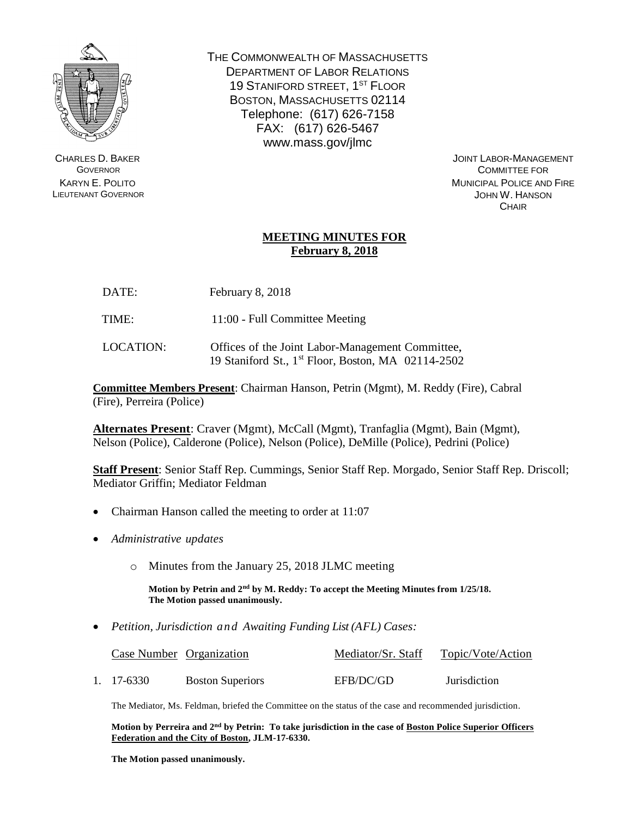

CHARLES D. BAKER **GOVERNOR** KARYN E. POLITO LIEUTENANT GOVERNOR THE COMMONWEALTH OF MASSACHUSETTS DEPARTMENT OF LABOR RELATIONS 19 STANIFORD STREET, 1<sup>ST</sup> FLOOR BOSTON, MASSACHUSETTS 02114 Telephone: (617) 626-7158 FAX: (617) 626-5467 www.mass.gov/jlmc

> JOINT LABOR-MANAGEMENT COMMITTEE FOR MUNICIPAL POLICE AND FIRE JOHN W. HANSON **CHAIR**

## **MEETING MINUTES FOR February 8, 2018**

- DATE: February 8, 2018
- TIME: 11:00 Full Committee Meeting
- LOCATION: Offices of the Joint Labor-Management Committee, 19 Staniford St., 1 st Floor, Boston, MA 02114-2502

**Committee Members Present**: Chairman Hanson, Petrin (Mgmt), M. Reddy (Fire), Cabral (Fire), Perreira (Police)

**Alternates Present**: Craver (Mgmt), McCall (Mgmt), Tranfaglia (Mgmt), Bain (Mgmt), Nelson (Police), Calderone (Police), Nelson (Police), DeMille (Police), Pedrini (Police)

**Staff Present**: Senior Staff Rep. Cummings, Senior Staff Rep. Morgado, Senior Staff Rep. Driscoll; Mediator Griffin; Mediator Feldman

- Chairman Hanson called the meeting to order at 11:07
- *Administrative updates*
	- o Minutes from the January 25, 2018 JLMC meeting

**Motion by Petrin and 2nd by M. Reddy: To accept the Meeting Minutes from 1/25/18. The Motion passed unanimously.**

*Petition, Jurisdiction and Awaiting Funding List (AFL) Cases:*

| Case Number Organization |                         | Mediator/Sr. Staff | Topic/Vote/Action |
|--------------------------|-------------------------|--------------------|-------------------|
| 1. 17-6330               | <b>Boston Superiors</b> | EFB/DC/GD          | Jurisdiction      |

The Mediator, Ms. Feldman, briefed the Committee on the status of the case and recommended jurisdiction.

**Motion by Perreira and 2nd by Petrin: To take jurisdiction in the case of Boston Police Superior Officers Federation and the City of Boston, JLM-17-6330.** 

**The Motion passed unanimously.**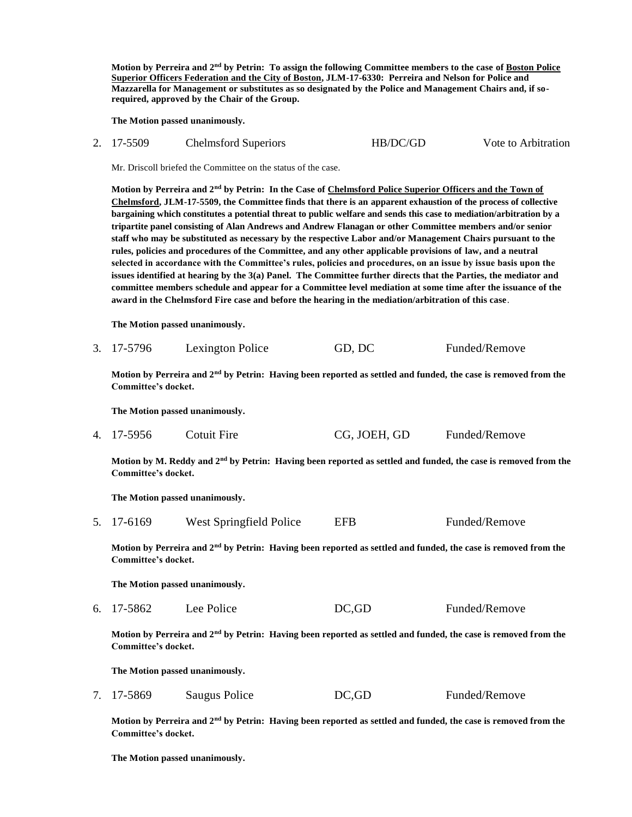**Motion by Perreira and 2nd by Petrin: To assign the following Committee members to the case of Boston Police Superior Officers Federation and the City of Boston, JLM-17-6330: Perreira and Nelson for Police and Mazzarella for Management or substitutes as so designated by the Police and Management Chairs and, if sorequired, approved by the Chair of the Group.** 

**The Motion passed unanimously.**

| 2. 17-5509 | Chelmsford Superiors | HB/DC/GD | Vote to Arbitration |
|------------|----------------------|----------|---------------------|
|            |                      |          |                     |

Mr. Driscoll briefed the Committee on the status of the case.

**Motion by Perreira and 2nd by Petrin: In the Case of Chelmsford Police Superior Officers and the Town of Chelmsford, JLM-17-5509, the Committee finds that there is an apparent exhaustion of the process of collective bargaining which constitutes a potential threat to public welfare and sends this case to mediation/arbitration by a tripartite panel consisting of Alan Andrews and Andrew Flanagan or other Committee members and/or senior staff who may be substituted as necessary by the respective Labor and/or Management Chairs pursuant to the rules, policies and procedures of the Committee, and any other applicable provisions of law, and a neutral selected in accordance with the Committee's rules, policies and procedures, on an issue by issue basis upon the issues identified at hearing by the 3(a) Panel. The Committee further directs that the Parties, the mediator and committee members schedule and appear for a Committee level mediation at some time after the issuance of the award in the Chelmsford Fire case and before the hearing in the mediation/arbitration of this case**.

**The Motion passed unanimously.**

3. 17-5796 Lexington Police GD, DC Funded/Remove

**Motion by Perreira and 2nd by Petrin: Having been reported as settled and funded, the case is removed from the Committee's docket.**

**The Motion passed unanimously.**

4. 17-5956 Cotuit Fire CG, JOEH, GD Funded/Remove

**Motion by M. Reddy and 2nd by Petrin: Having been reported as settled and funded, the case is removed from the Committee's docket.**

**The Motion passed unanimously.**

5. 17-6169 West Springfield Police EFB Funded/Remove

**Motion by Perreira and 2nd by Petrin: Having been reported as settled and funded, the case is removed from the Committee's docket.**

**The Motion passed unanimously.**

6. 17-5862 Lee Police DC,GD Funded/Remove

**Motion by Perreira and 2nd by Petrin: Having been reported as settled and funded, the case is removed from the Committee's docket.**

**The Motion passed unanimously.**

7. 17-5869 Saugus Police DC,GD Funded/Remove

**Motion by Perreira and 2nd by Petrin: Having been reported as settled and funded, the case is removed from the Committee's docket.**

**The Motion passed unanimously.**